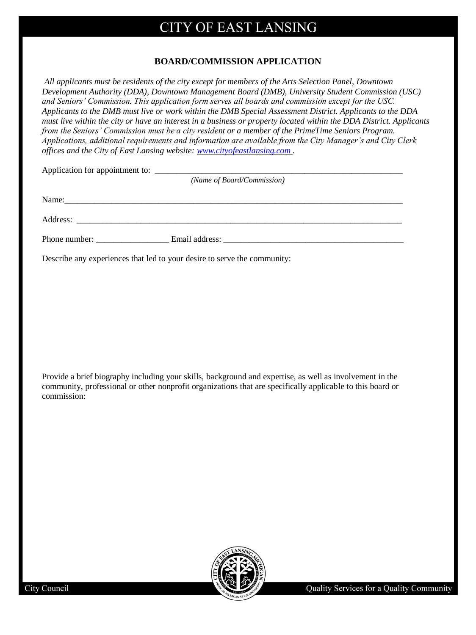## **BOARD/COMMISSION APPLICATION**

*All applicants must be residents of the city except for members of the Arts Selection Panel, Downtown Development Authority (DDA), Downtown Management Board (DMB), University Student Commission (USC) and Seniors' Commission. This application form serves all boards and commission except for the USC. Applicants to the DMB must live or work within the DMB Special Assessment District. Applicants to the DDA must live within the city or have an interest in a business or property located within the DDA District. Applicants from the Seniors' Commission must be a city resident or a member of the PrimeTime Seniors Program. Applications, additional requirements and information are available from the City Manager's and City Clerk offices and the City of East Lansing website: www.cityofeastlansing.com .*

| Application for appointment to: |                            |  |
|---------------------------------|----------------------------|--|
|                                 | (Name of Board/Commission) |  |
|                                 |                            |  |

Name:

Address: \_\_\_\_\_\_\_\_\_\_\_\_\_\_\_\_\_\_\_\_\_\_\_\_\_\_\_\_\_\_\_\_\_\_\_\_\_\_\_\_\_\_\_\_\_\_\_\_\_\_\_\_\_\_\_\_\_\_\_\_\_\_\_\_\_\_\_\_\_\_\_\_\_\_\_\_

Phone number: Email address:

Describe any experiences that led to your desire to serve the community:

Provide a brief biography including your skills, background and expertise, as well as involvement in the community, professional or other nonprofit organizations that are specifically applicable to this board or commission:

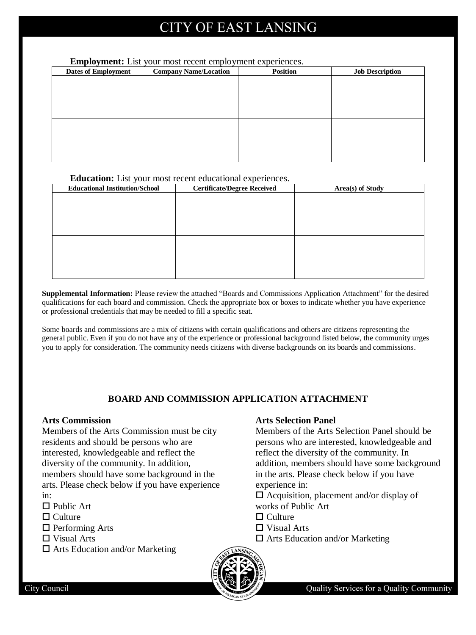#### **Employment:** List your most recent employment experiences.

| <b>Dates of Employment</b> | <b>Company Name/Location</b> | <b>Position</b> | <b>Job Description</b> |
|----------------------------|------------------------------|-----------------|------------------------|
|                            |                              |                 |                        |
|                            |                              |                 |                        |
|                            |                              |                 |                        |
|                            |                              |                 |                        |
|                            |                              |                 |                        |
|                            |                              |                 |                        |
|                            |                              |                 |                        |
|                            |                              |                 |                        |
|                            |                              |                 |                        |
|                            |                              |                 |                        |

#### **Education:** List your most recent educational experiences.

| <b>Educational Institution/School</b> | <b>Certificate/Degree Received</b> | Area(s) of Study |
|---------------------------------------|------------------------------------|------------------|
|                                       |                                    |                  |
|                                       |                                    |                  |
|                                       |                                    |                  |
|                                       |                                    |                  |
|                                       |                                    |                  |
|                                       |                                    |                  |
|                                       |                                    |                  |
|                                       |                                    |                  |
|                                       |                                    |                  |
|                                       |                                    |                  |

**Supplemental Information:** Please review the attached "Boards and Commissions Application Attachment" for the desired qualifications for each board and commission. Check the appropriate box or boxes to indicate whether you have experience or professional credentials that may be needed to fill a specific seat.

Some boards and commissions are a mix of citizens with certain qualifications and others are citizens representing the general public. Even if you do not have any of the experience or professional background listed below, the community urges you to apply for consideration. The community needs citizens with diverse backgrounds on its boards and commissions.

## **BOARD AND COMMISSION APPLICATION ATTACHMENT**

#### **Arts Commission**

Members of the Arts Commission must be city residents and should be persons who are interested, knowledgeable and reflect the diversity of the community. In addition, members should have some background in the arts. Please check below if you have experience in:

 $\Box$  Public Art

- $\Box$  Culture
- $\Box$  Performing Arts
- Visual Arts
- $\Box$  Arts Education and/or Marketing

#### **Arts Selection Panel**

Members of the Arts Selection Panel should be persons who are interested, knowledgeable and reflect the diversity of the community. In addition, members should have some background in the arts. Please check below if you have experience in:

- $\Box$  Acquisition, placement and/or display of works of Public Art
- $\Box$  Culture
- Visual Arts
- $\Box$  Arts Education and/or Marketing



City Council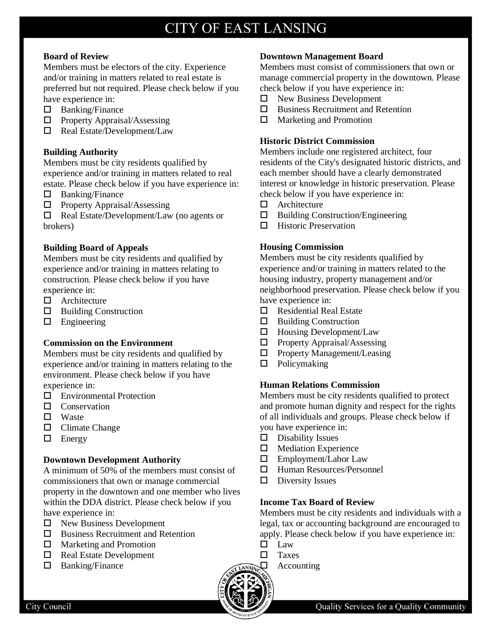#### **Board of Review**

Members must be electors of the city. Experience and/or training in matters related to real estate is preferred but not required. Please check below if you have experience in:

- $\Box$  Banking/Finance
- $\Box$  Property Appraisal/Assessing
- $\Box$  Real Estate/Development/Law

### **Building Authority**

Members must be city residents qualified by experience and/or training in matters related to real estate. Please check below if you have experience in:

- $\square$  Banking/Finance
- $\Box$  Property Appraisal/Assessing

 $\Box$  Real Estate/Development/Law (no agents or brokers)

#### **Building Board of Appeals**

Members must be city residents and qualified by experience and/or training in matters relating to construction. Please check below if you have experience in:

- □ Architecture
- $\Box$  Building Construction
- $\square$  Engineering

### **Commission on the Environment**

Members must be city residents and qualified by experience and/or training in matters relating to the environment. Please check below if you have experience in:

- □ Environmental Protection
- **D** Conservation
- $\Box$  Waste
- $\Box$  Climate Change
- $\Box$  Energy

### **Downtown Development Authority**

A minimum of 50% of the members must consist of commissioners that own or manage commercial property in the downtown and one member who lives within the DDA district. Please check below if you have experience in:

- $\Box$  New Business Development
- $\square$  Business Recruitment and Retention
- □ Marketing and Promotion
- □ Real Estate Development
- $\Box$  Banking/Finance

#### **Downtown Management Board**

Members must consist of commissioners that own or manage commercial property in the downtown. Please check below if you have experience in:

- $\Box$  New Business Development
- $\square$  Business Recruitment and Retention
- $\Box$  Marketing and Promotion

### **Historic District Commission**

Members include one registered architect, four residents of the City's designated historic districts, and each member should have a clearly demonstrated interest or knowledge in historic preservation. Please check below if you have experience in:

- □ Architecture
- Building Construction/Engineering
- $\Box$  Historic Preservation

### **Housing Commission**

Members must be city residents qualified by experience and/or training in matters related to the housing industry, property management and/or neighborhood preservation. Please check below if you have experience in:

- $\Box$  Residential Real Estate
- $\Box$  Building Construction
- $\Box$  Housing Development/Law
- $\Box$  Property Appraisal/Assessing
- $\Box$  Property Management/Leasing
- $\Box$  Policymaking

### **Human Relations Commission**

Members must be city residents qualified to protect and promote human dignity and respect for the rights of all individuals and groups. Please check below if you have experience in:

- $\square$  Disability Issues
- $\Box$  Mediation Experience
- Employment/Labor Law
- Human Resources/Personnel
- $\square$  Diversity Issues

### **Income Tax Board of Review**

Members must be city residents and individuals with a legal, tax or accounting background are encouraged to apply. Please check below if you have experience in:

- $\square$  Law
- **D** Taxes
	- Accounting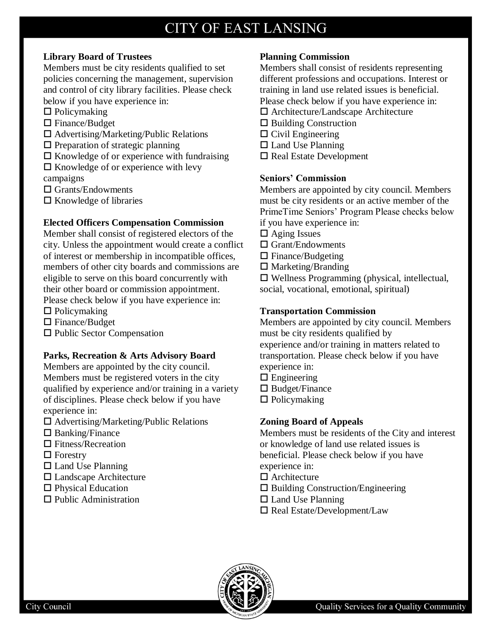# **Library Board of Trustees**

Members must be city residents qualified to set policies concerning the management, supervision and control of city library facilities. Please check below if you have experience in:

- $\Box$  Policymaking
- $\square$  Finance/Budget
- $\Box$  Advertising/Marketing/Public Relations
- $\square$  Preparation of strategic planning
- $\Box$  Knowledge of or experience with fundraising
- $\square$  Knowledge of or experience with levy campaigns
- □ Grants/Endowments
- $\Box$  Knowledge of libraries

# **Elected Officers Compensation Commission**

Member shall consist of registered electors of the city. Unless the appointment would create a conflict of interest or membership in incompatible offices, members of other city boards and commissions are eligible to serve on this board concurrently with their other board or commission appointment. Please check below if you have experience in:

- $\Box$  Policymaking
- □ Finance/Budget
- $\square$  Public Sector Compensation

# **Parks, Recreation & Arts Advisory Board**

Members are appointed by the city council. Members must be registered voters in the city qualified by experience and/or training in a variety of disciplines. Please check below if you have experience in:

- $\square$  Advertising/Marketing/Public Relations
- $\square$  Banking/Finance
- $\square$  Fitness/Recreation
- $\Box$  Forestry
- $\Box$  Land Use Planning
- Landscape Architecture
- □ Physical Education
- $\Box$  Public Administration

# **Planning Commission**

Members shall consist of residents representing different professions and occupations. Interest or training in land use related issues is beneficial. Please check below if you have experience in:

- Architecture/Landscape Architecture
- $\Box$  Building Construction
- $\Box$  Civil Engineering
- $\Box$  Land Use Planning
- $\square$  Real Estate Development

## **Seniors' Commission**

Members are appointed by city council. Members must be city residents or an active member of the PrimeTime Seniors' Program Please checks below if you have experience in:

- $\Box$  Aging Issues
- □ Grant/Endowments
- $\Box$  Finance/Budgeting
- $\square$  Marketing/Branding

 $\square$  Wellness Programming (physical, intellectual, social, vocational, emotional, spiritual)

## **Transportation Commission**

Members are appointed by city council. Members must be city residents qualified by experience and/or training in matters related to

transportation. Please check below if you have experience in:

- $\square$  Engineering
- $\square$  Budget/Finance
- $\Box$  Policymaking

# **Zoning Board of Appeals**

Members must be residents of the City and interest or knowledge of land use related issues is beneficial. Please check below if you have experience in:

- □ Architecture
- $\square$  Building Construction/Engineering
- $\Box$  Land Use Planning
- $\square$  Real Estate/Development/Law